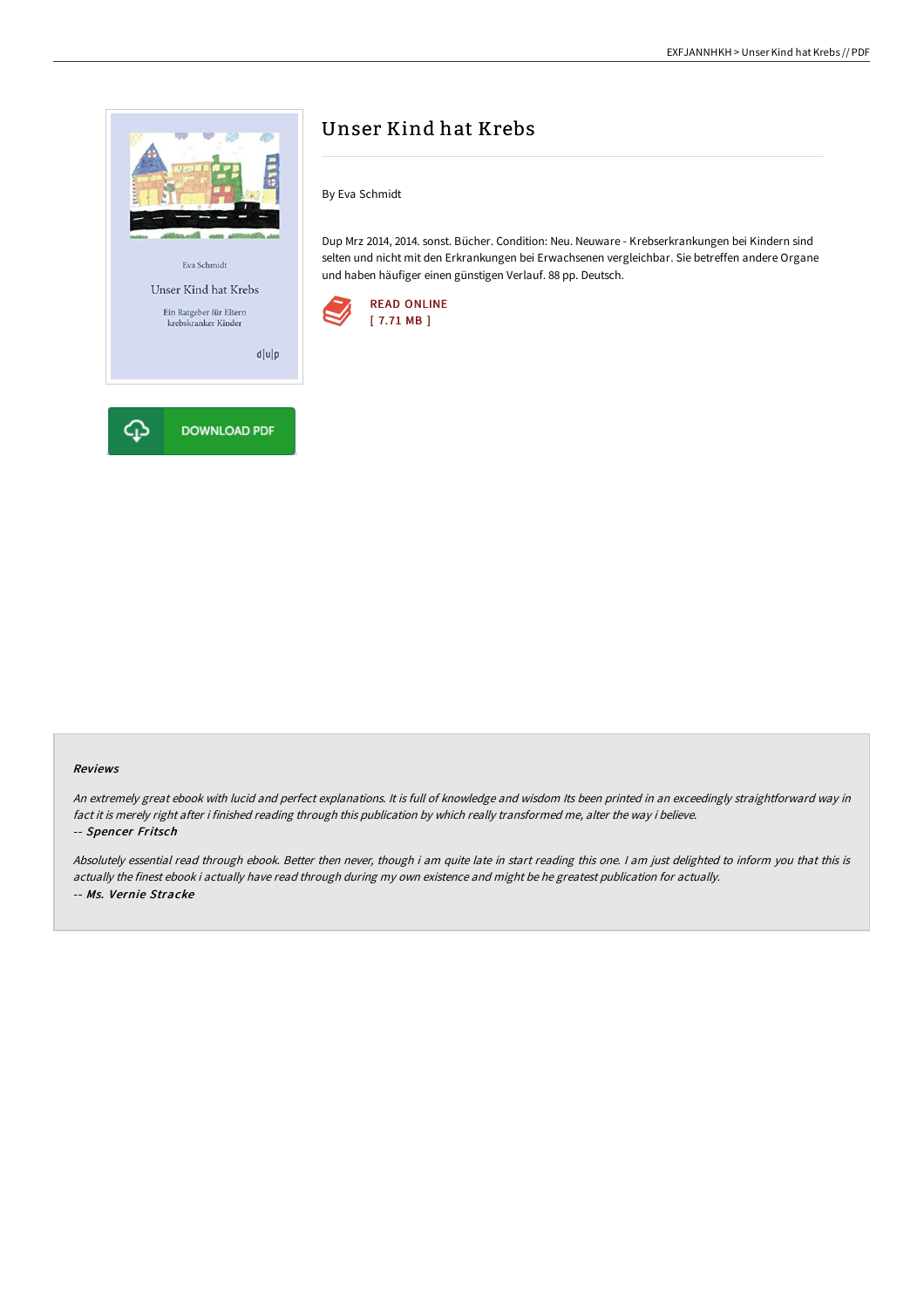

# Unser Kind hat Krebs

By Eva Schmidt

Dup Mrz 2014, 2014. sonst. Bücher. Condition: Neu. Neuware - Krebserkrankungen bei Kindern sind selten und nicht mit den Erkrankungen bei Erwachsenen vergleichbar. Sie betreffen andere Organe und haben häufiger einen günstigen Verlauf. 88 pp. Deutsch.



#### Reviews

An extremely great ebook with lucid and perfect explanations. It is full of knowledge and wisdom Its been printed in an exceedingly straightforward way in fact it is merely right after i finished reading through this publication by which really transformed me, alter the way i believe. -- Spencer Fritsch

Absolutely essential read through ebook. Better then never, though i am quite late in start reading this one. <sup>I</sup> am just delighted to inform you that this is actually the finest ebook i actually have read through during my own existence and might be he greatest publication for actually. -- Ms. Vernie Stracke